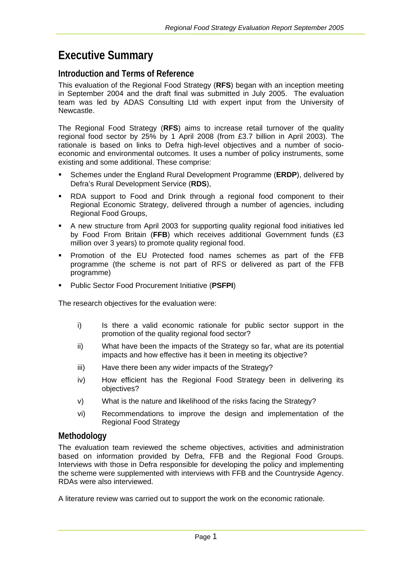# **Executive Summary**

# **Introduction and Terms of Reference**

This evaluation of the Regional Food Strategy (**RFS**) began with an inception meeting in September 2004 and the draft final was submitted in July 2005. The evaluation team was led by ADAS Consulting Ltd with expert input from the University of Newcastle.

The Regional Food Strategy (**RFS**) aims to increase retail turnover of the quality regional food sector by 25% by 1 April 2008 (from £3.7 billion in April 2003). The rationale is based on links to Defra high-level objectives and a number of socioeconomic and environmental outcomes. It uses a number of policy instruments, some existing and some additional. These comprise:

- Schemes under the England Rural Development Programme (**ERDP**), delivered by Defra's Rural Development Service (**RDS**),
- RDA support to Food and Drink through a regional food component to their Regional Economic Strategy, delivered through a number of agencies, including Regional Food Groups,
- A new structure from April 2003 for supporting quality regional food initiatives led by Food From Britain (**FFB**) which receives additional Government funds (£3 million over 3 years) to promote quality regional food.
- Promotion of the EU Protected food names schemes as part of the FFB programme (the scheme is not part of RFS or delivered as part of the FFB programme)
- Public Sector Food Procurement Initiative (**PSFPI**)

The research objectives for the evaluation were:

- i) Is there a valid economic rationale for public sector support in the promotion of the quality regional food sector?
- ii) What have been the impacts of the Strategy so far, what are its potential impacts and how effective has it been in meeting its objective?
- iii) Have there been any wider impacts of the Strategy?
- iv) How efficient has the Regional Food Strategy been in delivering its objectives?
- v) What is the nature and likelihood of the risks facing the Strategy?
- vi) Recommendations to improve the design and implementation of the Regional Food Strategy

# **Methodology**

The evaluation team reviewed the scheme objectives, activities and administration based on information provided by Defra, FFB and the Regional Food Groups. Interviews with those in Defra responsible for developing the policy and implementing the scheme were supplemented with interviews with FFB and the Countryside Agency. RDAs were also interviewed.

A literature review was carried out to support the work on the economic rationale.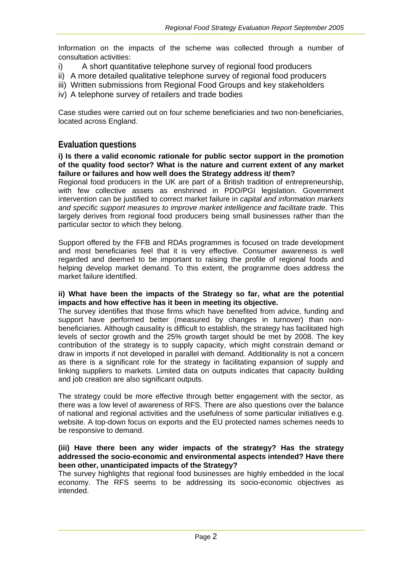Information on the impacts of the scheme was collected through a number of consultation activities:

- i) A short quantitative telephone survey of regional food producers
- ii) A more detailed qualitative telephone survey of regional food producers
- iii) Written submissions from Regional Food Groups and key stakeholders
- iv) A telephone survey of retailers and trade bodies

Case studies were carried out on four scheme beneficiaries and two non-beneficiaries, located across England.

# **Evaluation questions**

**i) Is there a valid economic rationale for public sector support in the promotion of the quality food sector? What is the nature and current extent of any market failure or failures and how well does the Strategy address it/ them?**

Regional food producers in the UK are part of a British tradition of entrepreneurship, with few collective assets as enshrined in PDO/PGI legislation. Government intervention can be justified to correct market failure in *capital and information markets and specific support measures to improve market intelligence and facilitate trade*. This largely derives from regional food producers being small businesses rather than the particular sector to which they belong.

Support offered by the FFB and RDAs programmes is focused on trade development and most beneficiaries feel that it is very effective. Consumer awareness is well regarded and deemed to be important to raising the profile of regional foods and helping develop market demand. To this extent, the programme does address the market failure identified.

# **ii) What have been the impacts of the Strategy so far, what are the potential impacts and how effective has it been in meeting its objective.**

The survey identifies that those firms which have benefited from advice, funding and support have performed better (measured by changes in turnover) than nonbeneficiaries. Although causality is difficult to establish, the strategy has facilitated high levels of sector growth and the 25% growth target should be met by 2008. The key contribution of the strategy is to supply capacity, which might constrain demand or draw in imports if not developed in parallel with demand. Additionality is not a concern as there is a significant role for the strategy in facilitating expansion of supply and linking suppliers to markets. Limited data on outputs indicates that capacity building and job creation are also significant outputs.

The strategy could be more effective through better engagement with the sector, as there was a low level of awareness of RFS. There are also questions over the balance of national and regional activities and the usefulness of some particular initiatives e.g. website. A top-down focus on exports and the EU protected names schemes needs to be responsive to demand.

# **(iii) Have there been any wider impacts of the strategy? Has the strategy addressed the socio-economic and environmental aspects intended? Have there been other, unanticipated impacts of the Strategy?**

The survey highlights that regional food businesses are highly embedded in the local economy. The RFS seems to be addressing its socio-economic objectives as intended.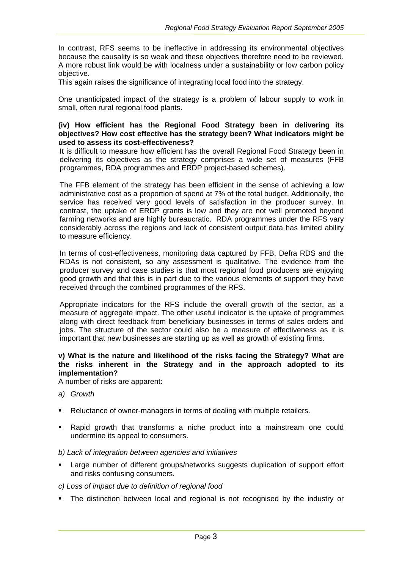In contrast, RFS seems to be ineffective in addressing its environmental objectives because the causality is so weak and these objectives therefore need to be reviewed. A more robust link would be with localness under a sustainability or low carbon policy objective.

This again raises the significance of integrating local food into the strategy.

One unanticipated impact of the strategy is a problem of labour supply to work in small, often rural regional food plants.

#### **(iv) How efficient has the Regional Food Strategy been in delivering its objectives? How cost effective has the strategy been? What indicators might be used to assess its cost-effectiveness?**

It is difficult to measure how efficient has the overall Regional Food Strategy been in delivering its objectives as the strategy comprises a wide set of measures (FFB programmes, RDA programmes and ERDP project-based schemes).

The FFB element of the strategy has been efficient in the sense of achieving a low administrative cost as a proportion of spend at 7% of the total budget. Additionally, the service has received very good levels of satisfaction in the producer survey. In contrast, the uptake of ERDP grants is low and they are not well promoted beyond farming networks and are highly bureaucratic. RDA programmes under the RFS vary considerably across the regions and lack of consistent output data has limited ability to measure efficiency.

In terms of cost-effectiveness, monitoring data captured by FFB, Defra RDS and the RDAs is not consistent, so any assessment is qualitative. The evidence from the producer survey and case studies is that most regional food producers are enjoying good growth and that this is in part due to the various elements of support they have received through the combined programmes of the RFS.

Appropriate indicators for the RFS include the overall growth of the sector, as a measure of aggregate impact. The other useful indicator is the uptake of programmes along with direct feedback from beneficiary businesses in terms of sales orders and jobs. The structure of the sector could also be a measure of effectiveness as it is important that new businesses are starting up as well as growth of existing firms.

# **v) What is the nature and likelihood of the risks facing the Strategy? What are the risks inherent in the Strategy and in the approach adopted to its implementation?**

A number of risks are apparent:

- *a) Growth*
- Reluctance of owner-managers in terms of dealing with multiple retailers.
- Rapid growth that transforms a niche product into a mainstream one could undermine its appeal to consumers.

# *b) Lack of integration between agencies and initiatives*

 Large number of different groups/networks suggests duplication of support effort and risks confusing consumers.

# *c) Loss of impact due to definition of regional food*

The distinction between local and regional is not recognised by the industry or